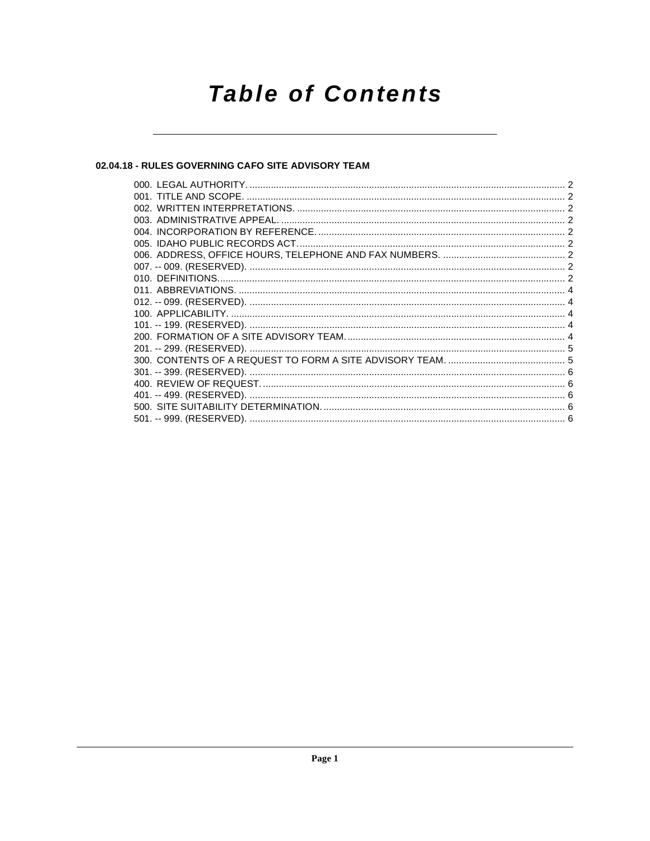# **Table of Contents**

# 02.04.18 - RULES GOVERNING CAFO SITE ADVISORY TEAM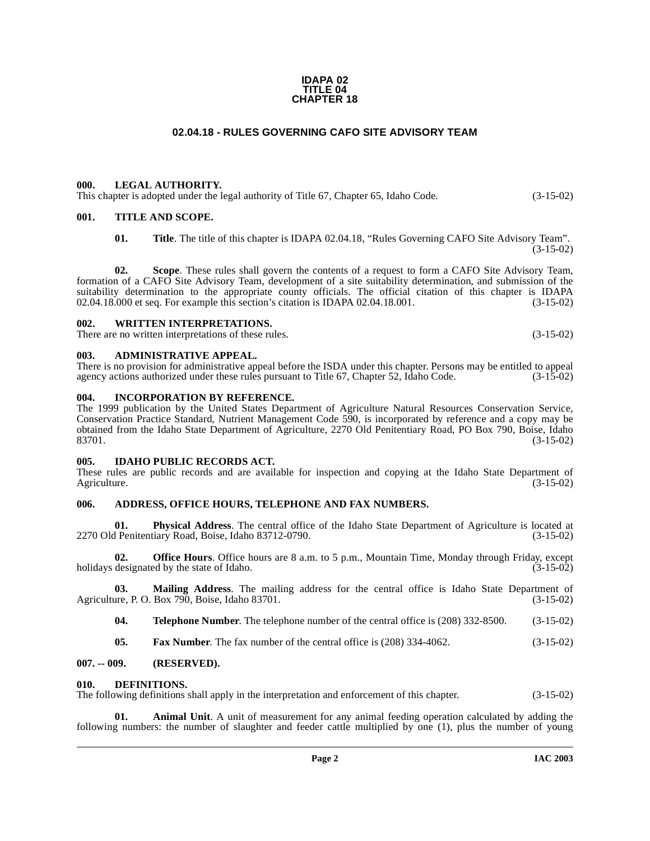#### **IDAPA 02 TITLE 04 CHAPTER 18**

# **02.04.18 - RULES GOVERNING CAFO SITE ADVISORY TEAM**

### <span id="page-1-1"></span><span id="page-1-0"></span>**000. LEGAL AUTHORITY.**

This chapter is adopted under the legal authority of Title 67, Chapter 65, Idaho Code. (3-15-02)

#### <span id="page-1-2"></span>**001. TITLE AND SCOPE.**

**01. Title**. The title of this chapter is IDAPA 02.04.18, "Rules Governing CAFO Site Advisory Team". (3-15-02)

**02. Scope**. These rules shall govern the contents of a request to form a CAFO Site Advisory Team, formation of a CAFO Site Advisory Team, development of a site suitability determination, and submission of the suitability determination to the appropriate county officials. The official citation of this chapter is IDAPA 02.04.18.000 et seq. For example this section's citation is IDAPA 02.04.18.001. (3-15-02)  $02.04.18.000$  et seq. For example this section's citation is IDAPA  $02.04.18.001$ .

#### <span id="page-1-3"></span>**002. WRITTEN INTERPRETATIONS.**

There are no written interpretations of these rules. (3-15-02)

#### <span id="page-1-4"></span>**003. ADMINISTRATIVE APPEAL.**

#### There is no provision for administrative appeal before the ISDA under this chapter. Persons may be entitled to appeal agency actions authorized under these rules pursuant to Title 67. Chapter 52. Idaho Code. (3-15-02) agency actions authorized under these rules pursuant to Title 67, Chapter 52, Idaho Code.

#### <span id="page-1-5"></span>**004. INCORPORATION BY REFERENCE.**

The 1999 publication by the United States Department of Agriculture Natural Resources Conservation Service, Conservation Practice Standard, Nutrient Management Code 590, is incorporated by reference and a copy may be obtained from the Idaho State Department of Agriculture, 2270 Old Penitentiary Road, PO Box 790, Boise, Idaho 83701. (3-15-02)

#### <span id="page-1-6"></span>**005. IDAHO PUBLIC RECORDS ACT.**

These rules are public records and are available for inspection and copying at the Idaho State Department of Agriculture. (3-15-02) Agriculture. (3-15-02)

#### <span id="page-1-7"></span>**006. ADDRESS, OFFICE HOURS, TELEPHONE AND FAX NUMBERS.**

**01. Physical Address**. The central office of the Idaho State Department of Agriculture is located at 2270 Old Penitentiary Road, Boise, Idaho 83712-0790.

**02. Office Hours**. Office hours are 8 a.m. to 5 p.m., Mountain Time, Monday through Friday, except holidays designated by the state of Idaho. (3-15-02)

**03. Mailing Address**. The mailing address for the central office is Idaho State Department of Agriculture, P. O. Box 790, Boise, Idaho 83701. (3-15-02)

**04. Telephone Number**. The telephone number of the central office is (208) 332-8500. (3-15-02)

<span id="page-1-10"></span>**05. Fax Number**. The fax number of the central office is (208) 334-4062. (3-15-02)

#### <span id="page-1-8"></span>**007. -- 009. (RESERVED).**

#### <span id="page-1-9"></span>**010. DEFINITIONS.**

The following definitions shall apply in the interpretation and enforcement of this chapter. (3-15-02)

**Animal Unit.** A unit of measurement for any animal feeding operation calculated by adding the following numbers: the number of slaughter and feeder cattle multiplied by one (1), plus the number of young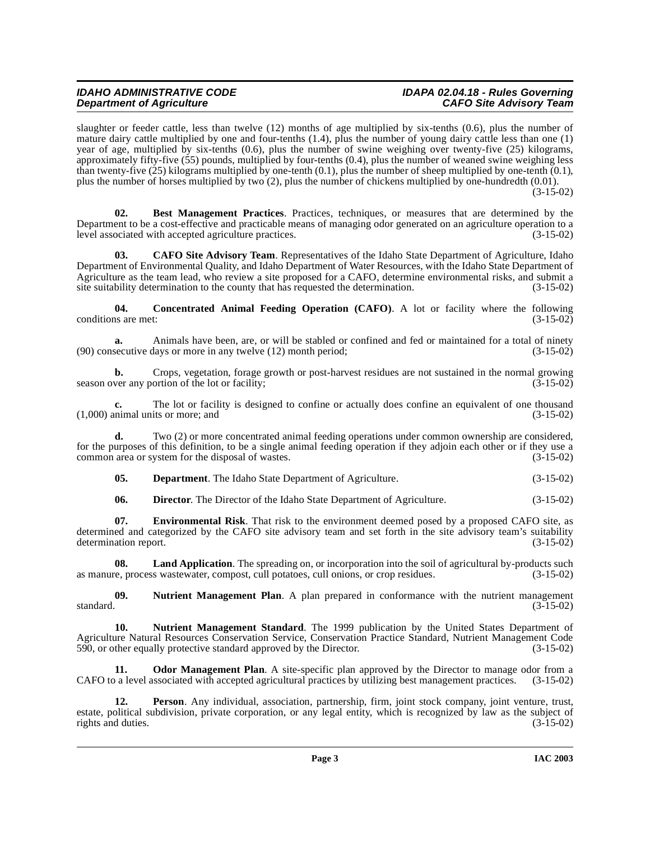# **IDAHO ADMINISTRATIVE CODE IDAPA 02.04.18 - Rules Governing Department of Agriculture**

slaughter or feeder cattle, less than twelve (12) months of age multiplied by six-tenths (0.6), plus the number of mature dairy cattle multiplied by one and four-tenths (1.4), plus the number of young dairy cattle less than one (1) year of age, multiplied by six-tenths (0.6), plus the number of swine weighing over twenty-five (25) kilograms, approximately fifty-five (55) pounds, multiplied by four-tenths (0.4), plus the number of weaned swine weighing less than twenty-five  $(25)$  kilograms multiplied by one-tenth  $(0.1)$ , plus the number of sheep multiplied by one-tenth  $(0.1)$ , plus the number of horses multiplied by two (2), plus the number of chickens multiplied by one-hundredth (0.01).  $(3-15-02)$ 

**02. Best Management Practices**. Practices, techniques, or measures that are determined by the Department to be a cost-effective and practicable means of managing odor generated on an agriculture operation to a level associated with accepted agriculture practices. (3-15-02)

<span id="page-2-0"></span>**03. CAFO Site Advisory Team**. Representatives of the Idaho State Department of Agriculture, Idaho Department of Environmental Quality, and Idaho Department of Water Resources, with the Idaho State Department of Agriculture as the team lead, who review a site proposed for a CAFO, determine environmental risks, and submit a site suitability determination to the county that has requested the determination. (3-15-02)

<span id="page-2-1"></span>**04. Concentrated Animal Feeding Operation (CAFO)**. A lot or facility where the following conditions are met: (3-15-02)

**a.** Animals have been, are, or will be stabled or confined and fed or maintained for a total of ninety secutive days or more in any twelve (12) month period; (3-15-02)  $(90)$  consecutive days or more in any twelve  $(12)$  month period;

**b.** Crops, vegetation, forage growth or post-harvest residues are not sustained in the normal growing season over any portion of the lot or facility; (3-15-02)

**c.** The lot or facility is designed to confine or actually does confine an equivalent of one thousand units or more; and (3-15-02)  $(1,000)$  animal units or more; and

**d.** Two (2) or more concentrated animal feeding operations under common ownership are considered, for the purposes of this definition, to be a single animal feeding operation if they adjoin each other or if they use a common area or system for the disposal of wastes. (3-15-02) common area or system for the disposal of wastes.

**05. Department**. The Idaho State Department of Agriculture. (3-15-02)

**06. Director**. The Director of the Idaho State Department of Agriculture. (3-15-02)

**07.** Environmental Risk. That risk to the environment deemed posed by a proposed CAFO site, as determined and categorized by the CAFO site advisory team and set forth in the site advisory team's suitability determination report. (3-15-02) determination report.

**08.** Land Application. The spreading on, or incorporation into the soil of agricultural by-products such as manure, process wastewater, compost, cull potatoes, cull onions, or crop residues. (3-15-02)

**09.** Nutrient Management Plan. A plan prepared in conformance with the nutrient management standard. (3-15-02) standard.  $(3-15-02)$ 

**10. Nutrient Management Standard**. The 1999 publication by the United States Department of Agriculture Natural Resources Conservation Service, Conservation Practice Standard, Nutrient Management Code 590, or other equally protective standard approved by the Director. (3-15-02) 590, or other equally protective standard approved by the Director.

**11. Odor Management Plan**. A site-specific plan approved by the Director to manage odor from a CAFO to a level associated with accepted agricultural practices by utilizing best management practices. (3-15-02)

**12. Person**. Any individual, association, partnership, firm, joint stock company, joint venture, trust, estate, political subdivision, private corporation, or any legal entity, which is recognized by law as the subject of rights and duties. (3-15-02) rights and duties.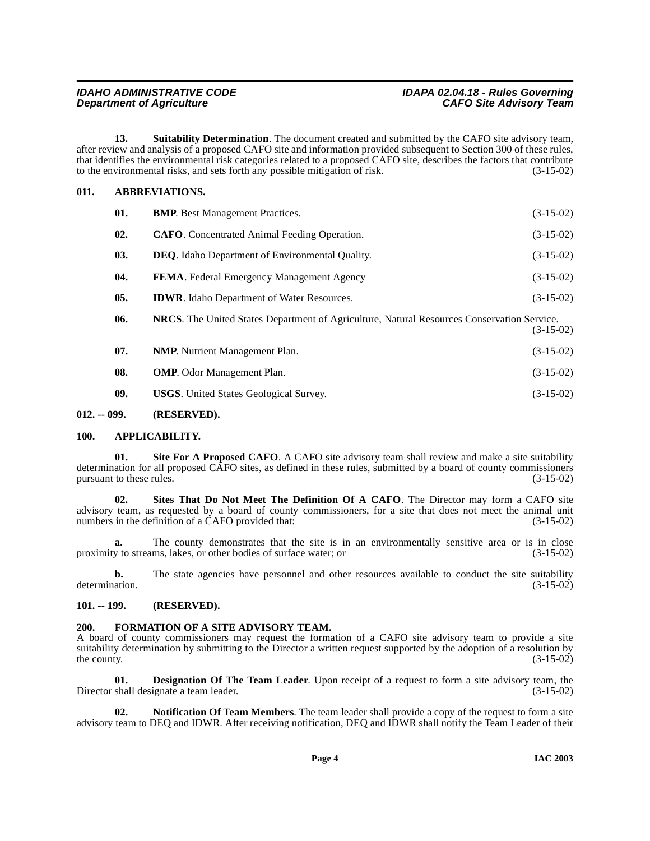| <b>IDAHO ADMINISTRATIVE CODE</b> | IDAPA 02.04.18 - Rules Governing |
|----------------------------------|----------------------------------|
| <b>Department of Agriculture</b> | <b>CAFO Site Advisory Team</b>   |

<span id="page-3-9"></span>**13. Suitability Determination**. The document created and submitted by the CAFO site advisory team, after review and analysis of a proposed CAFO site and information provided subsequent to Section 300 of these rules, that identifies the environmental risk categories related to a proposed CAFO site, describes the factors that contribute to the environmental risks, and sets forth any possible mitigation of risk.  $(3-15-02)$ 

#### <span id="page-3-0"></span>**011. ABBREVIATIONS.**

<span id="page-3-5"></span>

| 01.            | <b>BMP.</b> Best Management Practices.                                                            | $(3-15-02)$ |
|----------------|---------------------------------------------------------------------------------------------------|-------------|
| 02.            | <b>CAFO.</b> Concentrated Animal Feeding Operation.                                               | $(3-15-02)$ |
| 03.            | <b>DEO.</b> Idaho Department of Environmental Quality.                                            | $(3-15-02)$ |
| 04.            | <b>FEMA.</b> Federal Emergency Management Agency                                                  | $(3-15-02)$ |
| 0 <sub>5</sub> | <b>IDWR</b> . Idaho Department of Water Resources.                                                | $(3-15-02)$ |
| 06.            | <b>NRCS.</b> The United States Department of Agriculture, Natural Resources Conservation Service. | $(3-15-02)$ |
| 07.            | <b>NMP.</b> Nutrient Management Plan.                                                             | $(3-15-02)$ |
| 08.            | <b>OMP.</b> Odor Management Plan.                                                                 | $(3-15-02)$ |
| 09.            | <b>USGS.</b> United States Geological Survey.                                                     | $(3-15-02)$ |

#### <span id="page-3-1"></span>**012. -- 099. (RESERVED).**

#### <span id="page-3-2"></span>**100. APPLICABILITY.**

**01.** Site For A Proposed CAFO. A CAFO site advisory team shall review and make a site suitability determination for all proposed CAFO sites, as defined in these rules, submitted by a board of county commissioners pursuant to these rules.  $(3-15-02)$ 

**02. Sites That Do Not Meet The Definition Of A CAFO**. The Director may form a CAFO site advisory team, as requested by a board of county commissioners, for a site that does not meet the animal unit numbers in the definition of a CAFO provided that: (3-15-02) numbers in the definition of a CAFO provided that:

**a.** The county demonstrates that the site is in an environmentally sensitive area or is in close v to streams, lakes, or other bodies of surface water; or  $(3-15-02)$ proximity to streams, lakes, or other bodies of surface water; or

**b.** The state agencies have personnel and other resources available to conduct the site suitability ation.  $(3-15-02)$ determination.

#### <span id="page-3-3"></span>**101. -- 199. (RESERVED).**

# <span id="page-3-7"></span><span id="page-3-4"></span>**200. FORMATION OF A SITE ADVISORY TEAM.**

A board of county commissioners may request the formation of a CAFO site advisory team to provide a site suitability determination by submitting to the Director a written request supported by the adoption of a resolution by the county. (3-15-02) the county.  $(3-15-02)$ 

<span id="page-3-6"></span>**01. Designation Of The Team Leader**. Upon receipt of a request to form a site advisory team, the shall designate a team leader. (3-15-02) Director shall designate a team leader.

<span id="page-3-8"></span>**02. Notification Of Team Members**. The team leader shall provide a copy of the request to form a site advisory team to DEQ and IDWR. After receiving notification, DEQ and IDWR shall notify the Team Leader of their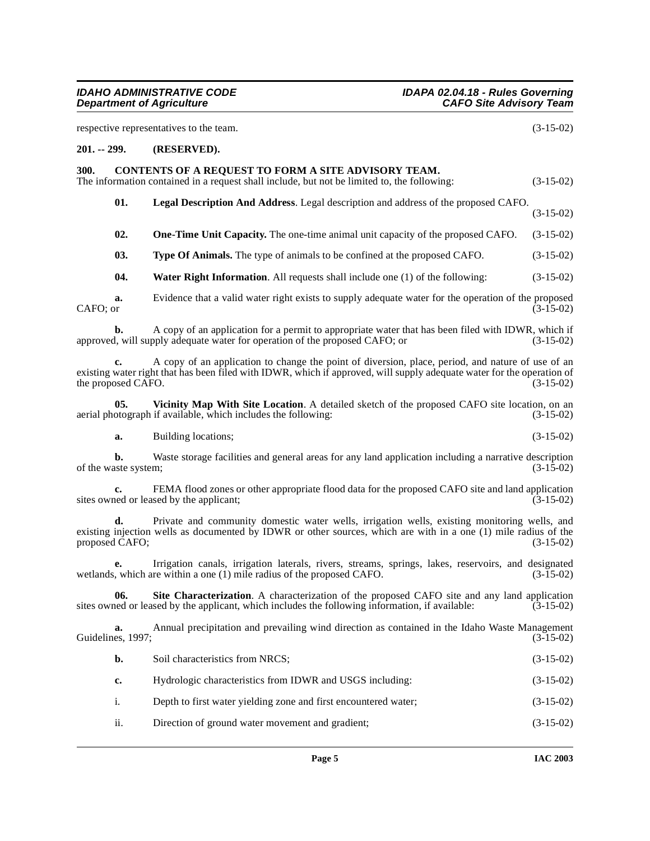<span id="page-4-3"></span><span id="page-4-2"></span><span id="page-4-1"></span><span id="page-4-0"></span>

|              |                            | respective representatives to the team.                                                                                                                                                                                     | $(3-15-02)$ |
|--------------|----------------------------|-----------------------------------------------------------------------------------------------------------------------------------------------------------------------------------------------------------------------------|-------------|
| 201. -- 299. |                            | (RESERVED).                                                                                                                                                                                                                 |             |
| 300.         |                            | CONTENTS OF A REQUEST TO FORM A SITE ADVISORY TEAM.<br>The information contained in a request shall include, but not be limited to, the following:                                                                          | $(3-15-02)$ |
|              | 01.                        | Legal Description And Address. Legal description and address of the proposed CAFO.                                                                                                                                          | $(3-15-02)$ |
|              | 02.                        | One-Time Unit Capacity. The one-time animal unit capacity of the proposed CAFO.                                                                                                                                             | $(3-15-02)$ |
|              | 03.                        | <b>Type Of Animals.</b> The type of animals to be confined at the proposed CAFO.                                                                                                                                            | $(3-15-02)$ |
|              | 04.                        | <b>Water Right Information.</b> All requests shall include one $(1)$ of the following:                                                                                                                                      | $(3-15-02)$ |
| CAFO; or     | a.                         | Evidence that a valid water right exists to supply adequate water for the operation of the proposed                                                                                                                         | $(3-15-02)$ |
|              | b.                         | A copy of an application for a permit to appropriate water that has been filed with IDWR, which if<br>approved, will supply adequate water for operation of the proposed CAFO; or                                           | $(3-15-02)$ |
|              | c.<br>the proposed CAFO.   | A copy of an application to change the point of diversion, place, period, and nature of use of an<br>existing water right that has been filed with IDWR, which if approved, will supply adequate water for the operation of | $(3-15-02)$ |
|              | 05.                        | Vicinity Map With Site Location. A detailed sketch of the proposed CAFO site location, on an<br>aerial photograph if available, which includes the following:                                                               | $(3-15-02)$ |
|              | a.                         | Building locations;                                                                                                                                                                                                         | $(3-15-02)$ |
|              | b.<br>of the waste system; | Waste storage facilities and general areas for any land application including a narrative description                                                                                                                       | $(3-15-02)$ |
|              | c.                         | FEMA flood zones or other appropriate flood data for the proposed CAFO site and land application<br>sites owned or leased by the applicant;                                                                                 | $(3-15-02)$ |
|              | d.<br>proposed CAFO;       | Private and community domestic water wells, irrigation wells, existing monitoring wells, and<br>existing injection wells as documented by IDWR or other sources, which are with in a one (1) mile radius of the             | $(3-15-02)$ |
|              |                            | Irrigation canals, irrigation laterals, rivers, streams, springs, lakes, reservoirs, and designated<br>wetlands, which are within a one (1) mile radius of the proposed CAFO.                                               | $(3-15-02)$ |
|              | 06 —                       | Site Characterization. A characterization of the proposed CAFO site and any land application<br>sites owned or leased by the applicant, which includes the following information, if available:                             | $(3-15-02)$ |
|              | a.<br>Guidelines, 1997;    | Annual precipitation and prevailing wind direction as contained in the Idaho Waste Management                                                                                                                               | $(3-15-02)$ |
|              | b.                         | Soil characteristics from NRCS;                                                                                                                                                                                             | $(3-15-02)$ |
|              | c.                         | Hydrologic characteristics from IDWR and USGS including:                                                                                                                                                                    | $(3-15-02)$ |
|              | i.                         | Depth to first water yielding zone and first encountered water;                                                                                                                                                             | $(3-15-02)$ |
|              | ii.                        | Direction of ground water movement and gradient;                                                                                                                                                                            | $(3-15-02)$ |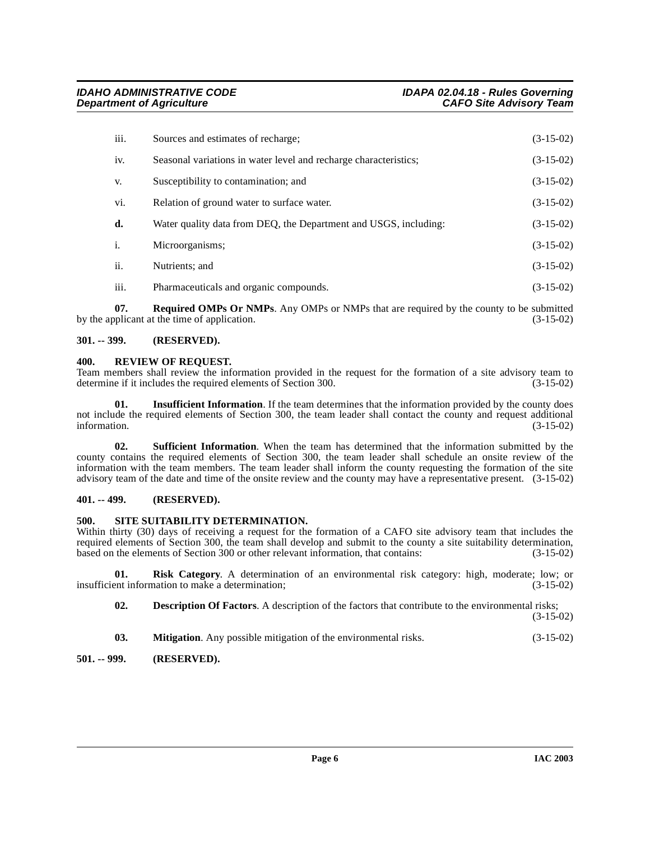| iii.           | Sources and estimates of recharge;                               | $(3-15-02)$ |
|----------------|------------------------------------------------------------------|-------------|
| iv.            | Seasonal variations in water level and recharge characteristics; | $(3-15-02)$ |
| V.             | Susceptibility to contamination; and                             | $(3-15-02)$ |
| vi.            | Relation of ground water to surface water.                       | $(3-15-02)$ |
| d.             | Water quality data from DEQ, the Department and USGS, including: | $(3-15-02)$ |
| $\mathbf{i}$ . | Microorganisms;                                                  | $(3-15-02)$ |
| ii.            | Nutrients; and                                                   | $(3-15-02)$ |
| iii.           | Pharmaceuticals and organic compounds.                           | $(3-15-02)$ |

**07. Required OMPs Or NMPs**. Any OMPs or NMPs that are required by the county to be submitted by the applicant at the time of application. (3-15-02)

#### <span id="page-5-0"></span>**301. -- 399. (RESERVED).**

#### <span id="page-5-5"></span><span id="page-5-1"></span>**400. REVIEW OF REQUEST.**

Team members shall review the information provided in the request for the formation of a site advisory team to determine if it includes the required elements of Section 300. (3-15-02) determine if it includes the required elements of Section 300.

**01. Insufficient Information**. If the team determines that the information provided by the county does not include the required elements of Section 300, the team leader shall contact the county and request additional information. (3-15-02) information. (3-15-02)

**02. Sufficient Information**. When the team has determined that the information submitted by the county contains the required elements of Section 300, the team leader shall schedule an onsite review of the information with the team members. The team leader shall inform the county requesting the formation of the site advisory team of the date and time of the onsite review and the county may have a representative present. (3-15-02)

#### <span id="page-5-2"></span>**401. -- 499. (RESERVED).**

#### <span id="page-5-6"></span><span id="page-5-3"></span>**500. SITE SUITABILITY DETERMINATION.**

Within thirty (30) days of receiving a request for the formation of a CAFO site advisory team that includes the required elements of Section 300, the team shall develop and submit to the county a site suitability determination, based on the elements of Section 300 or other relevant information, that contains: (3-15-02) based on the elements of Section 300 or other relevant information, that contains:

**01. Risk Category**. A determination of an environmental risk category: high, moderate; low; or insufficient information to make a determination; (3-15-02)

**02. Description Of Factors**. A description of the factors that contribute to the environmental risks;

(3-15-02)

**03. Mitigation**. Any possible mitigation of the environmental risks. (3-15-02)

#### <span id="page-5-4"></span>**501. -- 999. (RESERVED).**